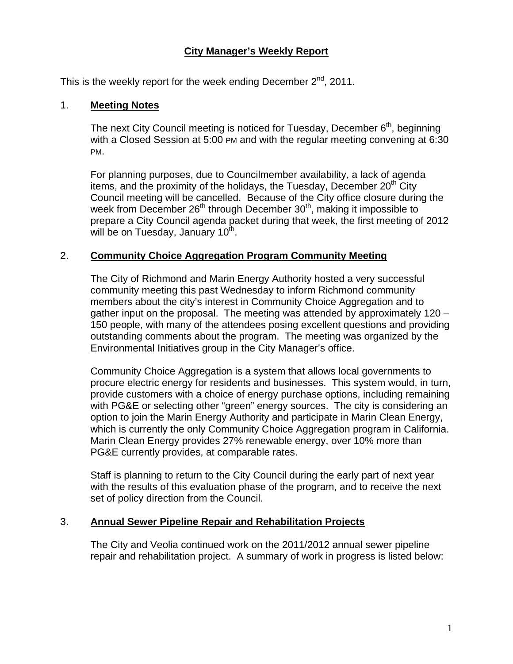# **City Manager's Weekly Report**

This is the weekly report for the week ending December  $2^{nd}$ , 2011.

### 1. **Meeting Notes**

The next City Council meeting is noticed for Tuesday, December  $6<sup>th</sup>$ , beginning with a Closed Session at 5:00 PM and with the regular meeting convening at 6:30 PM.

For planning purposes, due to Councilmember availability, a lack of agenda items, and the proximity of the holidays, the Tuesday, December  $20<sup>th</sup>$  City Council meeting will be cancelled. Because of the City office closure during the week from December  $26<sup>th</sup>$  through December  $30<sup>th</sup>$ , making it impossible to prepare a City Council agenda packet during that week, the first meeting of 2012 will be on Tuesday, January 10<sup>th</sup>.

## 2. **Community Choice Aggregation Program Community Meeting**

The City of Richmond and Marin Energy Authority hosted a very successful community meeting this past Wednesday to inform Richmond community members about the city's interest in Community Choice Aggregation and to gather input on the proposal. The meeting was attended by approximately 120 – 150 people, with many of the attendees posing excellent questions and providing outstanding comments about the program. The meeting was organized by the Environmental Initiatives group in the City Manager's office.

Community Choice Aggregation is a system that allows local governments to procure electric energy for residents and businesses. This system would, in turn, provide customers with a choice of energy purchase options, including remaining with PG&E or selecting other "green" energy sources. The city is considering an option to join the Marin Energy Authority and participate in Marin Clean Energy, which is currently the only Community Choice Aggregation program in California. Marin Clean Energy provides 27% renewable energy, over 10% more than PG&E currently provides, at comparable rates.

Staff is planning to return to the City Council during the early part of next year with the results of this evaluation phase of the program, and to receive the next set of policy direction from the Council.

#### 3. **Annual Sewer Pipeline Repair and Rehabilitation Projects**

The City and Veolia continued work on the 2011/2012 annual sewer pipeline repair and rehabilitation project. A summary of work in progress is listed below: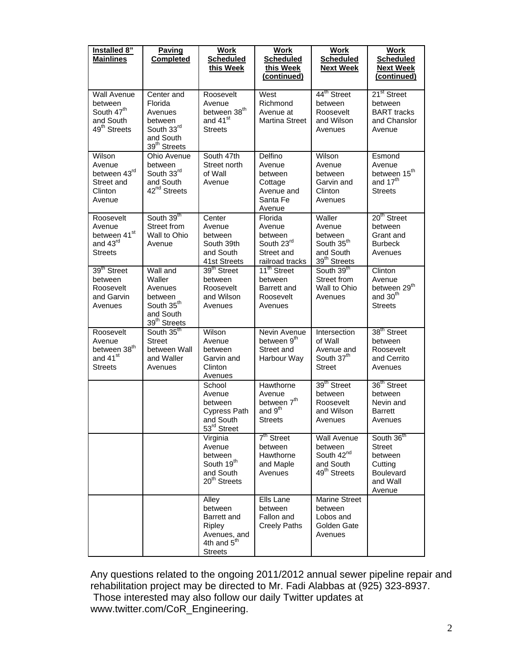| Installed 8"<br><b>Mainlines</b>                                                                 | Paving<br><b>Completed</b>                                                                                  | Work<br><b>Scheduled</b><br>this Week                                                            | Work<br><b>Scheduled</b><br>this Week<br>(continued)                                    | <b>Work</b><br><b>Scheduled</b><br><b>Next Week</b>                                              | Work<br><b>Scheduled</b><br><b>Next Week</b><br>(continued)                             |
|--------------------------------------------------------------------------------------------------|-------------------------------------------------------------------------------------------------------------|--------------------------------------------------------------------------------------------------|-----------------------------------------------------------------------------------------|--------------------------------------------------------------------------------------------------|-----------------------------------------------------------------------------------------|
| <b>Wall Avenue</b><br>between<br>South 47 <sup>th</sup><br>and South<br>49 <sup>th</sup> Streets | Center and<br>Florida<br>Avenues<br>between<br>South 33rd<br>and South<br>39 <sup>th</sup> Streets          | Roosevelt<br>Avenue<br>between 38 <sup>th</sup><br>and 41 <sup>st</sup><br><b>Streets</b>        | West<br>Richmond<br>Avenue at<br><b>Martina Street</b>                                  | 44 <sup>th</sup> Street<br>between<br>Roosevelt<br>and Wilson<br>Avenues                         | 21 <sup>st</sup> Street<br>between<br><b>BART</b> tracks<br>and Chanslor<br>Avenue      |
| Wilson<br>Avenue<br>between 43rd<br>Street and<br>Clinton<br>Avenue                              | Ohio Avenue<br>between<br>South 33rd<br>and South<br>42 <sup>nd</sup> Streets                               | South 47th<br>Street north<br>of Wall<br>Avenue                                                  | Delfino<br>Avenue<br>between<br>Cottage<br>Avenue and<br>Santa Fe<br>Avenue             | Wilson<br>Avenue<br>between<br>Garvin and<br>Clinton<br>Avenues                                  | Esmond<br>Avenue<br>between 15 <sup>th</sup><br>and 17 <sup>th</sup><br>Streets         |
| Roosevelt<br>Avenue<br>between 41st<br>and 43rd<br><b>Streets</b>                                | South 39th<br>Street from<br>Wall to Ohio<br>Avenue                                                         | Center<br>Avenue<br>between<br>South 39th<br>and South<br>41st Streets                           | Florida<br>Avenue<br>between<br>South 23rd<br>Street and<br>railroad tracks             | Waller<br>Avenue<br>between<br>South 35 <sup>th</sup><br>and South<br>39 <sup>th</sup> Streets   | 20 <sup>th</sup> Street<br>between<br>Grant and<br><b>Burbeck</b><br>Avenues            |
| 39 <sup>th</sup> Street<br>between<br>Roosevelt<br>and Garvin<br>Avenues                         | Wall and<br>Waller<br>Avenues<br>between<br>South 35 <sup>th</sup><br>and South<br>39 <sup>th</sup> Streets | 39 <sup>th</sup> Street<br>between<br>Roosevelt<br>and Wilson<br>Avenues                         | 11 <sup>th</sup> Street<br>between<br>Barrett and<br>Roosevelt<br>Avenues               | South 39 <sup>th</sup><br>Street from<br>Wall to Ohio<br>Avenues                                 | Clinton<br>Avenue<br>between 29 <sup>th</sup><br>and 30 <sup>th</sup><br><b>Streets</b> |
| Roosevelt<br>Avenue<br>between 38 <sup>th</sup><br>and 41 <sup>st</sup><br><b>Streets</b>        | South 35th<br>Street<br>between Wall<br>and Waller<br>Avenues                                               | Wilson<br>Avenue<br>between<br>Garvin and<br>Clinton<br>Avenues                                  | Nevin Avenue<br>between 9 <sup>th</sup><br>Street and<br>Harbour Way                    | Intersection<br>of Wall<br>Avenue and<br>South 37 <sup>th</sup><br><b>Street</b>                 | 38 <sup>th</sup> Street<br>between<br>Roosevelt<br>and Cerrito<br>Avenues               |
|                                                                                                  |                                                                                                             | School<br>Avenue<br>between<br><b>Cypress Path</b><br>and South<br>53 <sup>rd</sup> Street       | Hawthorne<br>Avenue<br>between 7 <sup>th</sup><br>and 9 <sup>th</sup><br><b>Streets</b> | 39 <sup>th</sup> Street<br>between<br>Roosevelt<br>and Wilson<br>Avenues                         | 36 <sup>th</sup> Street<br>between<br>Nevin and<br><b>Barrett</b><br>Avenues            |
|                                                                                                  |                                                                                                             | Virginia<br>Avenue<br>between<br>South 19 <sup>th</sup><br>and South<br>20 <sup>th</sup> Streets | $7th$ Street<br>between<br>Hawthorne<br>and Maple<br>Avenues                            | <b>Wall Avenue</b><br>between<br>South 42 <sup>nd</sup><br>and South<br>49 <sup>th</sup> Streets | South 36th<br><b>Street</b><br>between<br>Cutting<br>Boulevard<br>and Wall<br>Avenue    |
|                                                                                                  |                                                                                                             | Alley<br>between<br>Barrett and<br>Ripley<br>Avenues, and<br>4th and $5th$<br><b>Streets</b>     | Ells Lane<br>between<br>Fallon and<br><b>Creely Paths</b>                               | <b>Marine Street</b><br>between<br>Lobos and<br>Golden Gate<br>Avenues                           |                                                                                         |

Any questions related to the ongoing 2011/2012 annual sewer pipeline repair and rehabilitation project may be directed to Mr. Fadi Alabbas at (925) 323-8937. Those interested may also follow our daily Twitter updates at

[www.twitter.com/CoR\\_Engineering](http://www.twitter.com/CoR_Engineering).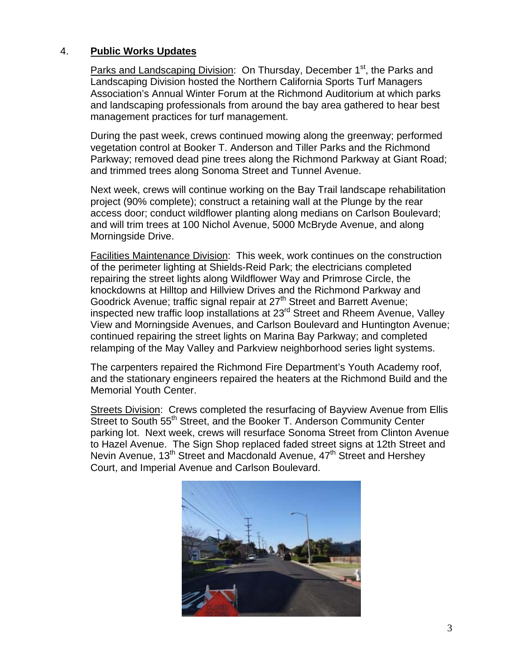# 4. **Public Works Updates**

Parks and Landscaping Division: On Thursday, December 1<sup>st</sup>, the Parks and Landscaping Division hosted the Northern California Sports Turf Managers Association's Annual Winter Forum at the Richmond Auditorium at which parks and landscaping professionals from around the bay area gathered to hear best management practices for turf management.

During the past week, crews continued mowing along the greenway; performed vegetation control at Booker T. Anderson and Tiller Parks and the Richmond Parkway; removed dead pine trees along the Richmond Parkway at Giant Road; and trimmed trees along Sonoma Street and Tunnel Avenue.

Next week, crews will continue working on the Bay Trail landscape rehabilitation project (90% complete); construct a retaining wall at the Plunge by the rear access door; conduct wildflower planting along medians on Carlson Boulevard; and will trim trees at 100 Nichol Avenue, 5000 McBryde Avenue, and along Morningside Drive.

Facilities Maintenance Division: This week, work continues on the construction of the perimeter lighting at Shields-Reid Park; the electricians completed repairing the street lights along Wildflower Way and Primrose Circle, the knockdowns at Hilltop and Hillview Drives and the Richmond Parkway and Goodrick Avenue; traffic signal repair at 27<sup>th</sup> Street and Barrett Avenue; inspected new traffic loop installations at 23<sup>rd</sup> Street and Rheem Avenue, Valley View and Morningside Avenues, and Carlson Boulevard and Huntington Avenue; continued repairing the street lights on Marina Bay Parkway; and completed relamping of the May Valley and Parkview neighborhood series light systems.

The carpenters repaired the Richmond Fire Department's Youth Academy roof, and the stationary engineers repaired the heaters at the Richmond Build and the Memorial Youth Center.

Streets Division: Crews completed the resurfacing of Bayview Avenue from Ellis Street to South 55<sup>th</sup> Street, and the Booker T. Anderson Community Center parking lot. Next week, crews will resurface Sonoma Street from Clinton Avenue to Hazel Avenue. The Sign Shop replaced faded street signs at 12th Street and Nevin Avenue, 13<sup>th</sup> Street and Macdonald Avenue, 47<sup>th</sup> Street and Hershey Court, and Imperial Avenue and Carlson Boulevard.